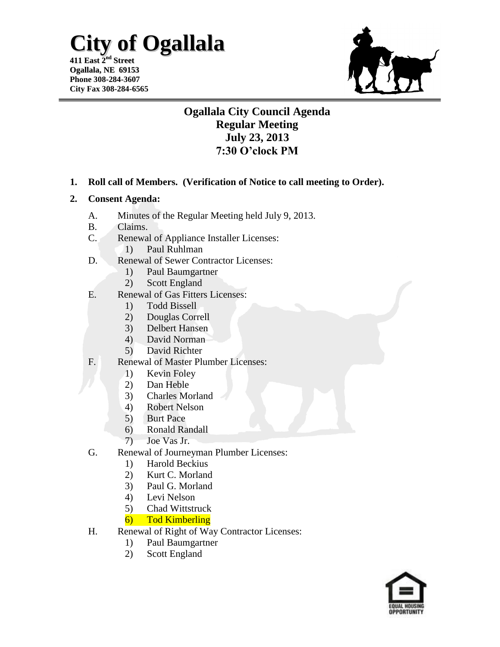**411 East 2 nd Street Ogallala, NE 69153 Phone 308-284-3607 City Fax 308-284-6565**



## **Ogallala City Council Agenda Regular Meeting July 23, 2013 7:30 O'clock PM**

**1. Roll call of Members. (Verification of Notice to call meeting to Order).**

#### **2. Consent Agenda:**

- A. Minutes of the Regular Meeting held July 9, 2013.
- B. Claims.
- C. Renewal of Appliance Installer Licenses:
	- 1) Paul Ruhlman
- D. Renewal of Sewer Contractor Licenses:
	- 1) Paul Baumgartner
	- 2) Scott England
- E. Renewal of Gas Fitters Licenses:
	- 1) Todd Bissell
	- 2) Douglas Correll
	- 3) Delbert Hansen
	- 4) David Norman
	- 5) David Richter
- F. Renewal of Master Plumber Licenses:
	- 1) Kevin Foley
	- 2) Dan Heble
	- 3) Charles Morland
	- 4) Robert Nelson
	- 5) Burt Pace
	- 6) Ronald Randall
	- 7) Joe Vas Jr.
- G. Renewal of Journeyman Plumber Licenses:
	- 1) Harold Beckius
	- 2) Kurt C. Morland
	- 3) Paul G. Morland
	- 4) Levi Nelson
	- 5) Chad Wittstruck
	- 6) Tod Kimberling
- H. Renewal of Right of Way Contractor Licenses:
	- 1) Paul Baumgartner
	- 2) Scott England

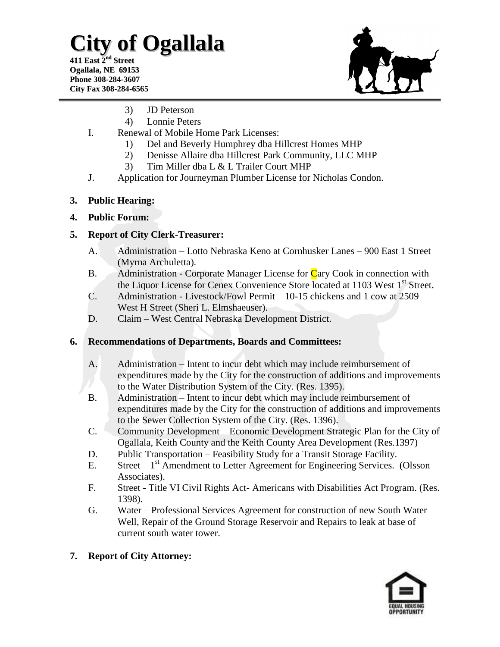**411 East 2 nd Street Ogallala, NE 69153 Phone 308-284-3607 City Fax 308-284-6565**



- 3) JD Peterson
- 4) Lonnie Peters
- I. Renewal of Mobile Home Park Licenses:
	- 1) Del and Beverly Humphrey dba Hillcrest Homes MHP
	- 2) Denisse Allaire dba Hillcrest Park Community, LLC MHP
	- 3) Tim Miller dba L & L Trailer Court MHP
- J. Application for Journeyman Plumber License for Nicholas Condon.

#### **3. Public Hearing:**

#### **4. Public Forum:**

### **5. Report of City Clerk-Treasurer:**

- A. Administration Lotto Nebraska Keno at Cornhusker Lanes 900 East 1 Street (Myrna Archuletta).
- B. Administration Corporate Manager License for Cary Cook in connection with the Liquor License for Cenex Convenience Store located at  $1103$  West  $1<sup>st</sup>$  Street.
- C. Administration Livestock/Fowl Permit 10-15 chickens and 1 cow at 2509 West H Street (Sheri L. Elmshaeuser).
- D. Claim West Central Nebraska Development District.

### **6. Recommendations of Departments, Boards and Committees:**

- A. Administration Intent to incur debt which may include reimbursement of expenditures made by the City for the construction of additions and improvements to the Water Distribution System of the City. (Res. 1395).
- B. Administration Intent to incur debt which may include reimbursement of expenditures made by the City for the construction of additions and improvements to the Sewer Collection System of the City. (Res. 1396).
- C. Community Development Economic Development Strategic Plan for the City of Ogallala, Keith County and the Keith County Area Development (Res.1397)
- D. Public Transportation Feasibility Study for a Transit Storage Facility.
- E. Street  $-1<sup>st</sup>$  Amendment to Letter Agreement for Engineering Services. (Olsson Associates).
- F. Street Title VI Civil Rights Act- Americans with Disabilities Act Program. (Res. 1398).
- G. Water Professional Services Agreement for construction of new South Water Well, Repair of the Ground Storage Reservoir and Repairs to leak at base of current south water tower.

### **7. Report of City Attorney:**

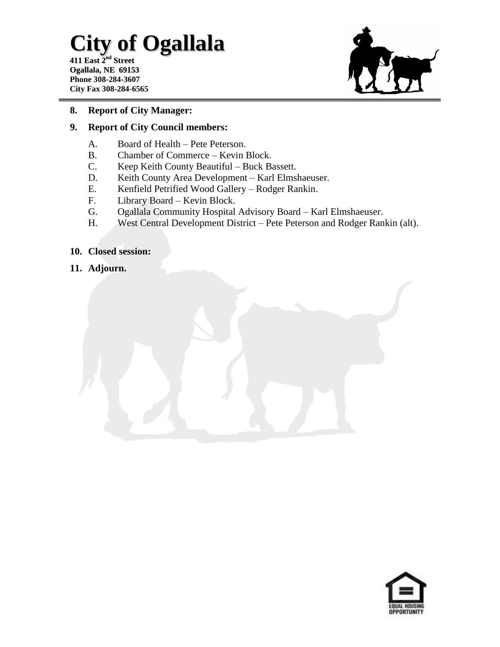**411 East 2 nd Street Ogallala, NE 69153 Phone 308-284-3607 City Fax 308-284-6565**



#### **8. Report of City Manager:**

#### **9. Report of City Council members:**

- A. Board of Health Pete Peterson.
- B. Chamber of Commerce Kevin Block.
- C. Keep Keith County Beautiful Buck Bassett.
- D. Keith County Area Development Karl Elmshaeuser.
- E. Kenfield Petrified Wood Gallery Rodger Rankin.
- F. Library Board Kevin Block.
- G. Ogallala Community Hospital Advisory Board Karl Elmshaeuser.
- H. West Central Development District Pete Peterson and Rodger Rankin (alt).

#### **10. Closed session:**

**11. Adjourn.**